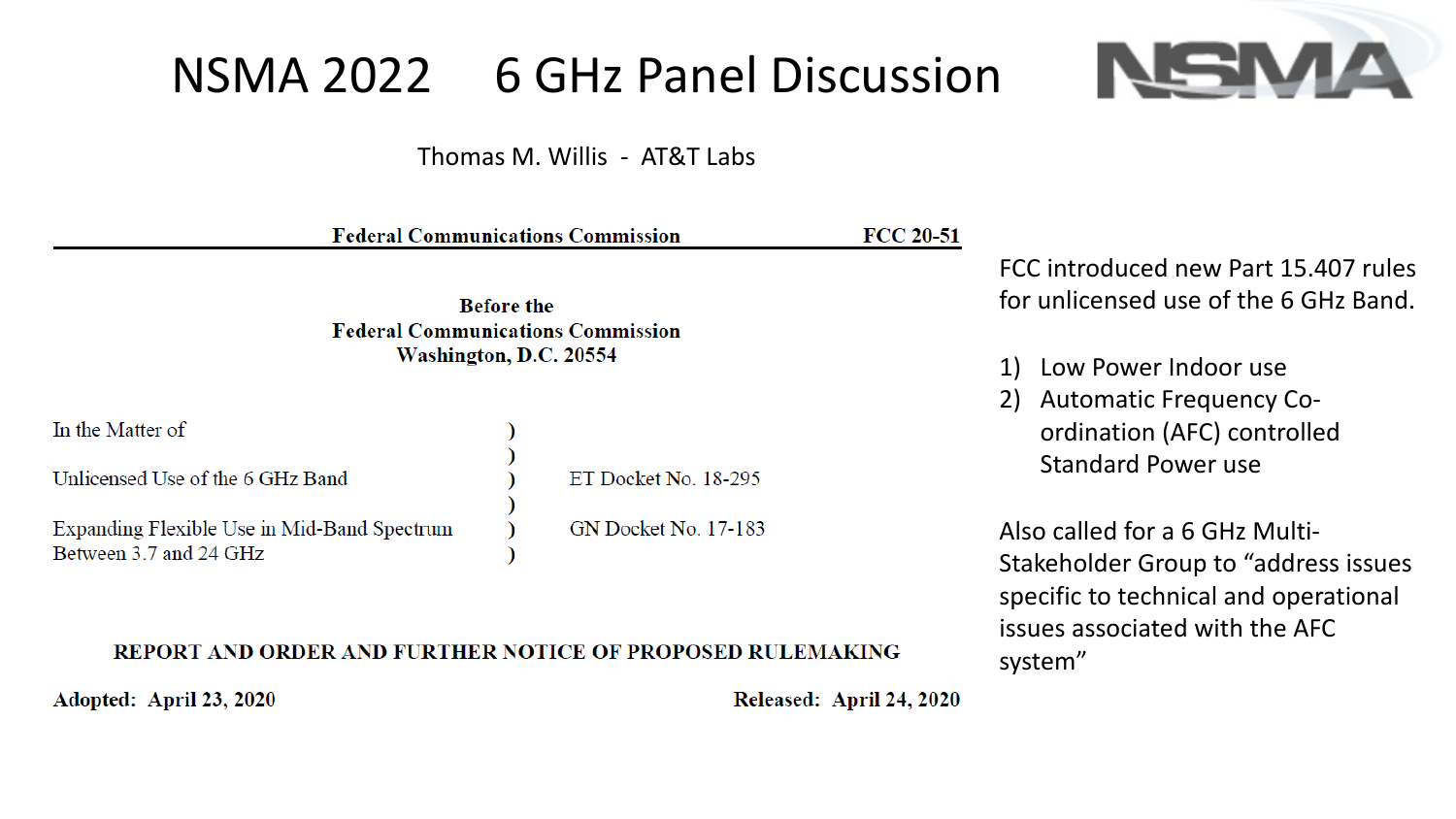# NSMA 2022 6 GHz Panel Discussion

Thomas M. Willis - AT&T Labs

|                                                                                         | <b>Federal Communications Commission</b> | <b>FCC 20-51</b> |                                                                                                                                                    |
|-----------------------------------------------------------------------------------------|------------------------------------------|------------------|----------------------------------------------------------------------------------------------------------------------------------------------------|
| <b>Before the</b><br><b>Federal Communications Commission</b><br>Washington, D.C. 20554 |                                          |                  | FCC introduced new Part 15.407 rules<br>for unlicensed use of the 6 GHz Band.                                                                      |
|                                                                                         |                                          |                  | Low Power Indoor use<br>2) Automatic Frequency Co-                                                                                                 |
| In the Matter of                                                                        |                                          |                  | ordination (AFC) controlled<br><b>Standard Power use</b>                                                                                           |
| Unlicensed Use of the 6 GHz Band                                                        | ET Docket No. 18-295                     |                  |                                                                                                                                                    |
| Expanding Flexible Use in Mid-Band Spectrum<br>Between 3.7 and 24 GHz                   | <b>GN Docket No. 17-183</b>              |                  | Also called for a 6 GHz Multi-<br>Stakeholder Group to "address issues"<br>specific to technical and operational<br>issues associated with the AFC |

#### REPORT AND ORDER AND FURTHER NOTICE OF PROPOSED RULEMAKING

Adopted: April 23, 2020

Released: April 24, 2020

system"

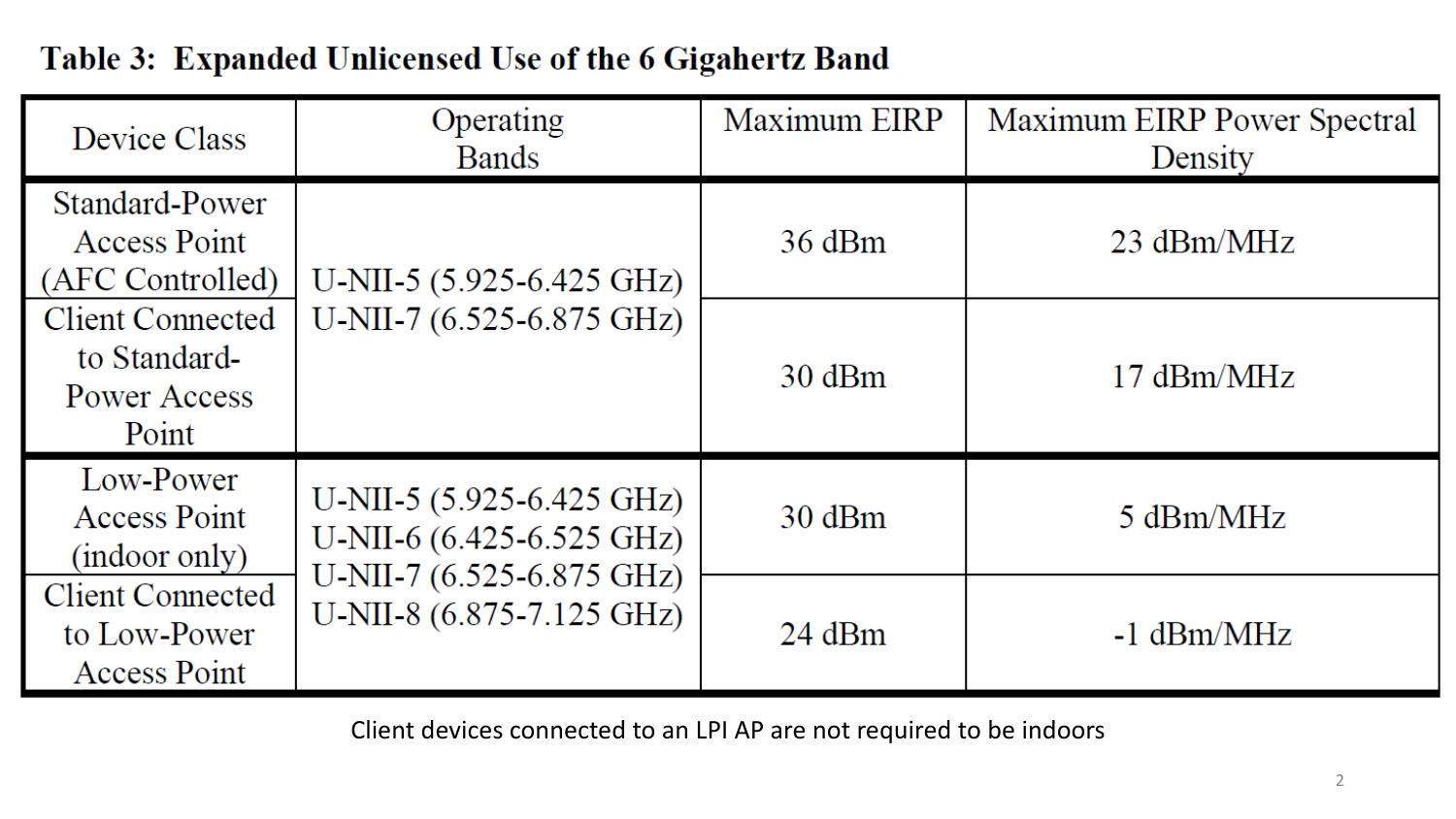| Device Class                                                     | Operating<br><b>Bands</b>                                                                                                    | Maximum EIRP | Maximum EIRP Power Spectral<br>Density |
|------------------------------------------------------------------|------------------------------------------------------------------------------------------------------------------------------|--------------|----------------------------------------|
| Standard-Power<br><b>Access Point</b><br>(AFC Controlled)        | U-NII-5 $(5.925 - 6.425 \text{ GHz})$<br>U-NII-7 $(6.525 - 6.875 \text{ GHz})$                                               | 36 dBm       | $23 \text{ dBm}/\text{MHz}$            |
| <b>Client Connected</b><br>to Standard-<br>Power Access<br>Point |                                                                                                                              | 30 dBm       | $17 \text{ dBm} / \text{MHz}$          |
| Low-Power<br><b>Access Point</b><br>(indoor only)                | U-NII-5 $(5.925 - 6.425 \text{ GHz})$<br>U-NII-6 (6.425-6.525 GHz)<br>U-NII-7 (6.525-6.875 GHz)<br>U-NII-8 (6.875-7.125 GHz) | 30 dBm       | 5 dBm/MHz                              |
| <b>Client Connected</b><br>to Low-Power<br><b>Access Point</b>   |                                                                                                                              | $24$ dBm     | $-1$ dBm/MHz                           |

### Table 3: Expanded Unlicensed Use of the 6 Gigahertz Band

Client devices connected to an LPI AP are not required to be indoors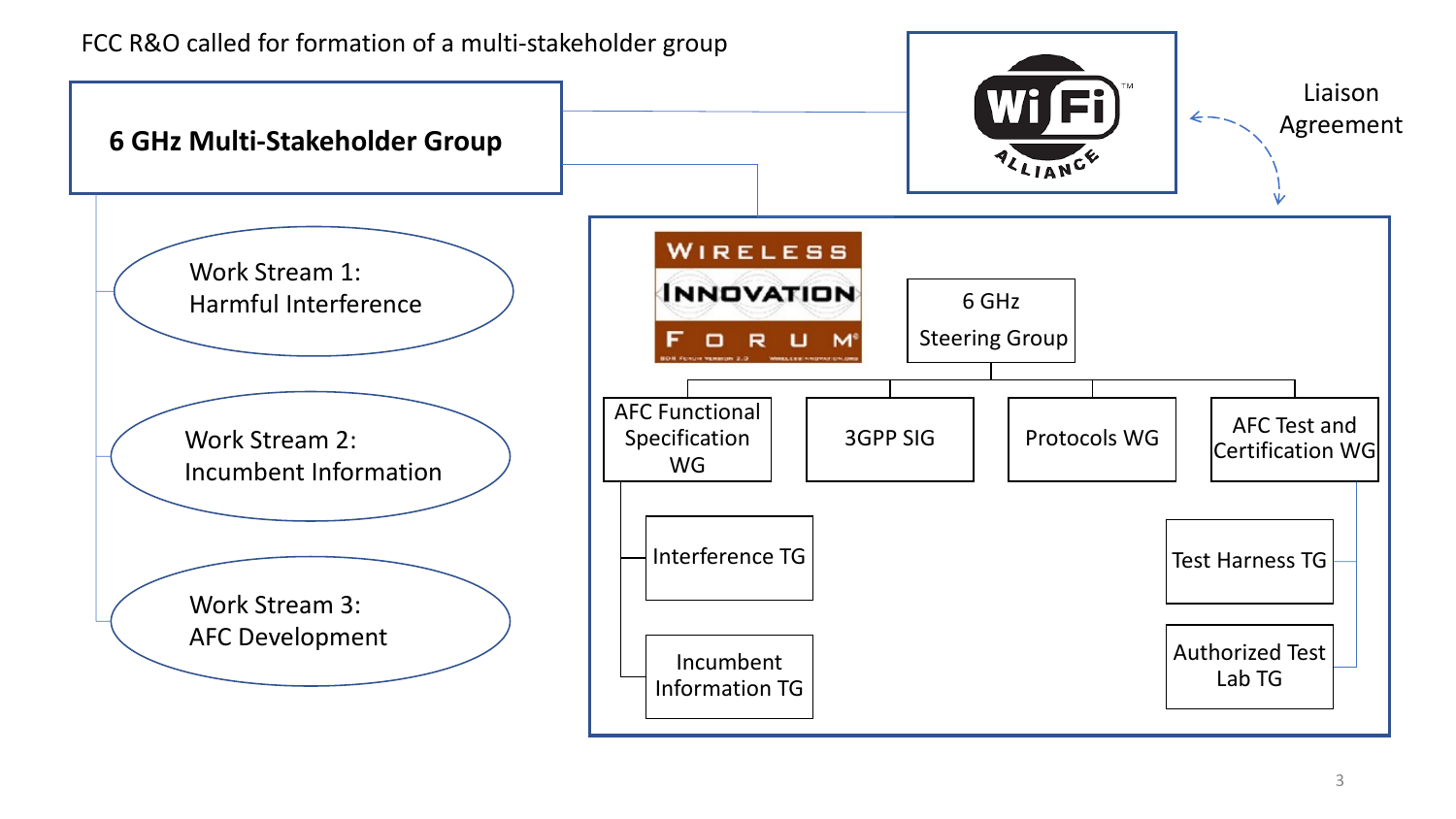